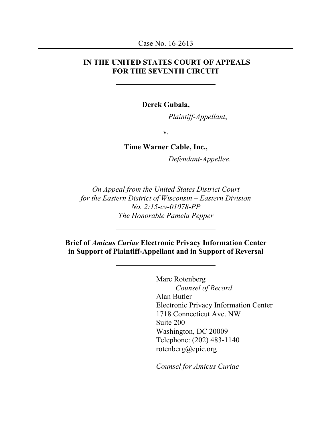### **IN THE UNITED STATES COURT OF APPEALS FOR THE SEVENTH CIRCUIT**

**Derek Gubala,**

*Plaintiff-Appellant*,

v.

## **Time Warner Cable, Inc.,**

*Defendant-Appellee*.

*On Appeal from the United States District Court for the Eastern District of Wisconsin – Eastern Division No. 2:15-cv-01078-PP The Honorable Pamela Pepper*

**Brief of** *Amicus Curiae* **Electronic Privacy Information Center in Support of Plaintiff-Appellant and in Support of Reversal**

> Marc Rotenberg *Counsel of Record* Alan Butler Electronic Privacy Information Center 1718 Connecticut Ave. NW Suite 200 Washington, DC 20009 Telephone: (202) 483-1140 rotenberg@epic.org

*Counsel for Amicus Curiae*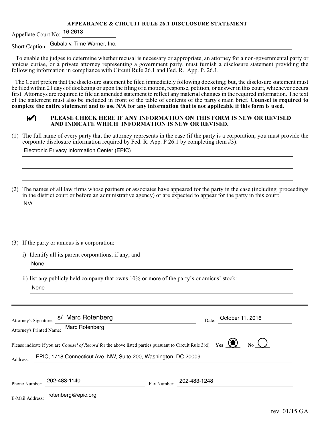#### **APPEARANCE & CIRCUIT RULE 26.1 DISCLOSURE STATEMENT**

Appellate Court No: 16-2613

Short Caption: Gubala v. Time Warner, Inc.

 To enable the judges to determine whether recusal is necessary or appropriate, an attorney for a non-governmental party or amicus curiae, or a private attorney representing a government party, must furnish a disclosure statement providing the following information in compliance with Circuit Rule 26.1 and Fed. R. App. P. 26.1.

The Court prefers that the disclosure statement be filed immediately following docketing; but, the disclosure statement must be filed within 21 days of docketing or upon the filing of a motion, response, petition, or answer in this court, whichever occurs first. Attorneys are required to file an amended statement to reflect any material changes in the required information. The text of the statement must also be included in front of the table of contents of the party's main brief. **Counsel is required to complete the entire statement and to use N/A for any information that is not applicable if this form is used.**

| i<br>٦<br>i<br>i<br>i<br>۳<br><sup>d</sup><br>i<br>S | i |
|------------------------------------------------------|---|
|                                                      |   |

### *I* **I ELEASE CHECK HERE IF ANY INFORMATION ON THIS FORM IS NEW OR REVISED AND INDICATE WHICH INFORMATION IS NEW OR REVISED AND INDICATE WHICH INFORMATION IS NEW OR REVISED.**

(1) The full name of every party that the attorney represents in the case (if the party is a corporation, you must provide the corporate disclosure information required by Fed. R. App. P 26.1 by completing item #3):

Electronic Privacy Information Center (EPIC)

(2) The names of all law firms whose partners or associates have appeared for the party in the case (including proceedings in the district court or before an administrative agency) or are expected to appear for the party in this court: N/A

(3) If the party or amicus is a corporation:

i) Identify all its parent corporations, if any; and None

ii) list any publicly held company that owns 10% or more of the party's or amicus' stock: None

| Attorney's Signature:<br>Attorney's Printed Name:                                                                                                                                                         | s/ Marc Rotenberg<br>Marc Rotenberg |             | October 11, 2016<br>Date: |  |  |
|-----------------------------------------------------------------------------------------------------------------------------------------------------------------------------------------------------------|-------------------------------------|-------------|---------------------------|--|--|
| Please indicate if you are <i>Counsel of Record</i> for the above listed parties pursuant to Circuit Rule 3(d). Yes<br>No.<br>EPIC, 1718 Connecticut Ave. NW, Suite 200, Washington, DC 20009<br>Address: |                                     |             |                           |  |  |
| Phone Number:                                                                                                                                                                                             | 202-483-1140                        | Fax Number: | 202-483-1248              |  |  |
| E-Mail Address:                                                                                                                                                                                           | rotenberg@epic.org                  |             |                           |  |  |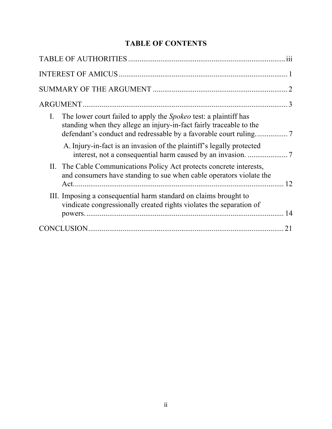# **TABLE OF CONTENTS**

| $\mathbf{I}$ .<br>The lower court failed to apply the <i>Spokeo</i> test: a plaintiff has<br>standing when they allege an injury-in-fact fairly traceable to the |    |
|------------------------------------------------------------------------------------------------------------------------------------------------------------------|----|
| A. Injury-in-fact is an invasion of the plaintiff's legally protected                                                                                            |    |
| II. The Cable Communications Policy Act protects concrete interests,<br>and consumers have standing to sue when cable operators violate the                      | 12 |
| III. Imposing a consequential harm standard on claims brought to<br>vindicate congressionally created rights violates the separation of                          |    |
|                                                                                                                                                                  | 14 |
|                                                                                                                                                                  | 21 |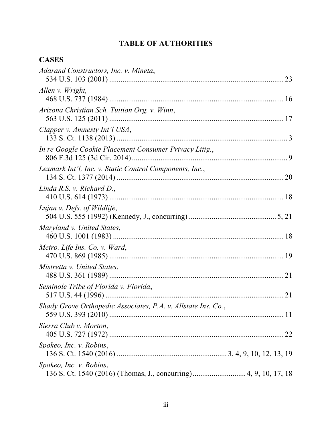# **TABLE OF AUTHORITIES**

# **CASES**

| Adarand Constructors, Inc. v. Mineta,                         |  |
|---------------------------------------------------------------|--|
| Allen v. Wright,                                              |  |
| Arizona Christian Sch. Tuition Org. v. Winn,                  |  |
| Clapper v. Amnesty Int'l USA,                                 |  |
| In re Google Cookie Placement Consumer Privacy Litig.,        |  |
| Lexmark Int'l, Inc. v. Static Control Components, Inc.,       |  |
| Linda R.S. v. Richard D.,                                     |  |
| Lujan v. Defs. of Wildlife,                                   |  |
| Maryland v. United States,                                    |  |
| Metro. Life Ins. Co. v. Ward,                                 |  |
| Mistretta v. United States,                                   |  |
| Seminole Tribe of Florida v. Florida,                         |  |
| Shady Grove Orthopedic Associates, P.A. v. Allstate Ins. Co., |  |
| Sierra Club v. Morton,                                        |  |
| Spokeo, Inc. v. Robins,                                       |  |
| Spokeo, Inc. v. Robins,                                       |  |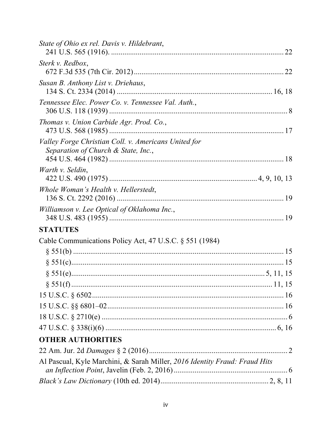| State of Ohio ex rel. Davis v. Hildebrant,                                                  |  |
|---------------------------------------------------------------------------------------------|--|
| Sterk v. Redbox,                                                                            |  |
| Susan B. Anthony List v. Driehaus,                                                          |  |
| Tennessee Elec. Power Co. v. Tennessee Val. Auth.,                                          |  |
| Thomas v. Union Carbide Agr. Prod. Co.,                                                     |  |
| Valley Forge Christian Coll. v. Americans United for<br>Separation of Church & State, Inc., |  |
| Warth v. Seldin,                                                                            |  |
| Whole Woman's Health v. Hellerstedt,                                                        |  |
| Williamson v. Lee Optical of Oklahoma Inc.,                                                 |  |
| <b>STATUTES</b>                                                                             |  |
| Cable Communications Policy Act, 47 U.S.C. § 551 (1984)                                     |  |
|                                                                                             |  |
|                                                                                             |  |
|                                                                                             |  |
|                                                                                             |  |
|                                                                                             |  |
|                                                                                             |  |
|                                                                                             |  |
|                                                                                             |  |
| <b>OTHER AUTHORITIES</b>                                                                    |  |
|                                                                                             |  |
| Al Pascual, Kyle Marchini, & Sarah Miller, 2016 Identity Fraud: Fraud Hits                  |  |
|                                                                                             |  |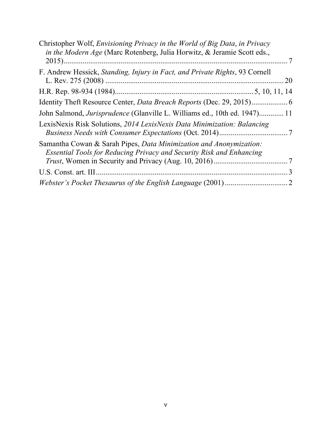| 20                                                                               |
|----------------------------------------------------------------------------------|
|                                                                                  |
|                                                                                  |
| John Salmond, <i>Jurisprudence</i> (Glanville L. Williams ed., 10th ed. 1947) 11 |
|                                                                                  |
|                                                                                  |
| 3                                                                                |
| 2                                                                                |
|                                                                                  |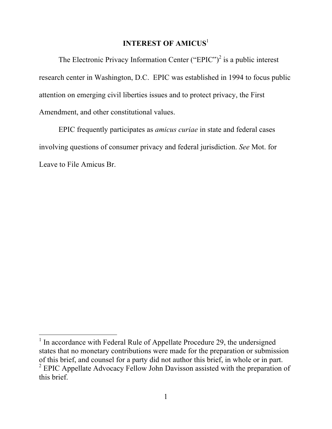# **INTEREST OF AMICUS**<sup>1</sup>

The Electronic Privacy Information Center ("EPIC")<sup>2</sup> is a public interest research center in Washington, D.C. EPIC was established in 1994 to focus public attention on emerging civil liberties issues and to protect privacy, the First Amendment, and other constitutional values.

EPIC frequently participates as *amicus curiae* in state and federal cases involving questions of consumer privacy and federal jurisdiction. *See* Mot. for Leave to File Amicus Br.

 $1$  In accordance with Federal Rule of Appellate Procedure 29, the undersigned states that no monetary contributions were made for the preparation or submission of this brief, and counsel for a party did not author this brief, in whole or in part. <sup>2</sup> EPIC Appellate Advocacy Fellow John Davisson assisted with the preparation of this brief.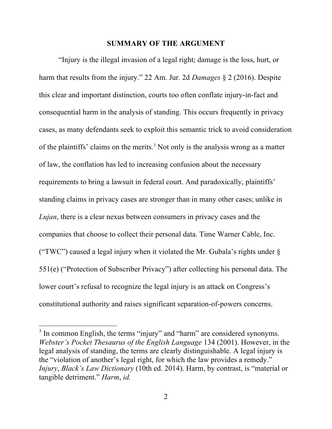### **SUMMARY OF THE ARGUMENT**

"Injury is the illegal invasion of a legal right; damage is the loss, hurt, or harm that results from the injury." 22 Am. Jur. 2d *Damages* § 2 (2016). Despite this clear and important distinction, courts too often conflate injury-in-fact and consequential harm in the analysis of standing. This occurs frequently in privacy cases, as many defendants seek to exploit this semantic trick to avoid consideration of the plaintiffs' claims on the merits.<sup>3</sup> Not only is the analysis wrong as a matter of law, the conflation has led to increasing confusion about the necessary requirements to bring a lawsuit in federal court. And paradoxically, plaintiffs' standing claims in privacy cases are stronger than in many other cases; unlike in *Lujan*, there is a clear nexus between consumers in privacy cases and the companies that choose to collect their personal data. Time Warner Cable, Inc. ("TWC") caused a legal injury when it violated the Mr. Gubala's rights under  $\S$ 551(e) ("Protection of Subscriber Privacy") after collecting his personal data. The lower court's refusal to recognize the legal injury is an attack on Congress's constitutional authority and raises significant separation-of-powers concerns.

<sup>&</sup>lt;sup>3</sup> In common English, the terms "injury" and "harm" are considered synonyms. *Webster's Pocket Thesaurus of the English Language* 134 (2001). However, in the legal analysis of standing, the terms are clearly distinguishable. A legal injury is the "violation of another's legal right, for which the law provides a remedy." *Injury*, *Black's Law Dictionary* (10th ed. 2014). Harm, by contrast, is "material or tangible detriment." *Harm*, *id.*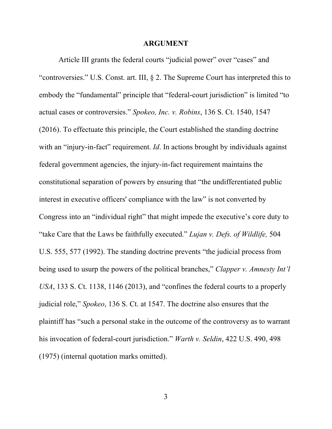#### **ARGUMENT**

Article III grants the federal courts "judicial power" over "cases" and "controversies." U.S. Const. art. III, § 2. The Supreme Court has interpreted this to embody the "fundamental" principle that "federal-court jurisdiction" is limited "to actual cases or controversies." *Spokeo, Inc. v. Robins*, 136 S. Ct. 1540, 1547 (2016). To effectuate this principle, the Court established the standing doctrine with an "injury-in-fact" requirement. *Id*. In actions brought by individuals against federal government agencies, the injury-in-fact requirement maintains the constitutional separation of powers by ensuring that "the undifferentiated public interest in executive officers' compliance with the law" is not converted by Congress into an "individual right" that might impede the executive's core duty to "take Care that the Laws be faithfully executed." *Lujan v. Defs. of Wildlife,* 504 U.S. 555, 577 (1992). The standing doctrine prevents "the judicial process from being used to usurp the powers of the political branches," *Clapper v. Amnesty Int'l USA*, 133 S. Ct. 1138, 1146 (2013), and "confines the federal courts to a properly judicial role," *Spokeo*, 136 S. Ct. at 1547. The doctrine also ensures that the plaintiff has "such a personal stake in the outcome of the controversy as to warrant his invocation of federal-court jurisdiction." *Warth v. Seldin*, 422 U.S. 490, 498 (1975) (internal quotation marks omitted).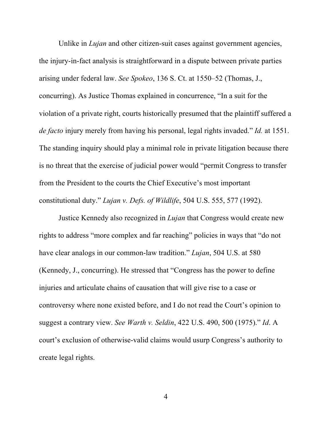Unlike in *Lujan* and other citizen-suit cases against government agencies, the injury-in-fact analysis is straightforward in a dispute between private parties arising under federal law. *See Spokeo*, 136 S. Ct. at 1550–52 (Thomas, J., concurring). As Justice Thomas explained in concurrence, "In a suit for the violation of a private right, courts historically presumed that the plaintiff suffered a *de facto* injury merely from having his personal, legal rights invaded." *Id.* at 1551. The standing inquiry should play a minimal role in private litigation because there is no threat that the exercise of judicial power would "permit Congress to transfer from the President to the courts the Chief Executive's most important constitutional duty." *Lujan v. Defs. of Wildlife*, 504 U.S. 555, 577 (1992).

Justice Kennedy also recognized in *Lujan* that Congress would create new rights to address "more complex and far reaching" policies in ways that "do not have clear analogs in our common-law tradition." *Lujan*, 504 U.S. at 580 (Kennedy, J., concurring). He stressed that "Congress has the power to define injuries and articulate chains of causation that will give rise to a case or controversy where none existed before, and I do not read the Court's opinion to suggest a contrary view. *See Warth v. Seldin*, 422 U.S. 490, 500 (1975)." *Id*. A court's exclusion of otherwise-valid claims would usurp Congress's authority to create legal rights.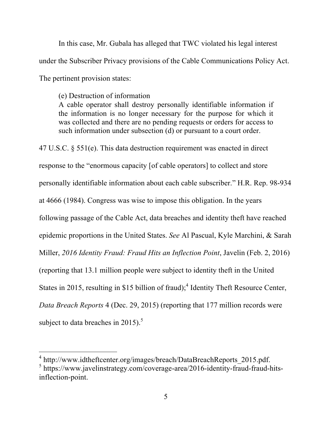In this case, Mr. Gubala has alleged that TWC violated his legal interest under the Subscriber Privacy provisions of the Cable Communications Policy Act. The pertinent provision states:

(e) Destruction of information A cable operator shall destroy personally identifiable information if the information is no longer necessary for the purpose for which it was collected and there are no pending requests or orders for access to such information under subsection (d) or pursuant to a court order.

47 U.S.C. § 551(e). This data destruction requirement was enacted in direct response to the "enormous capacity [of cable operators] to collect and store personally identifiable information about each cable subscriber." H.R. Rep. 98-934 at 4666 (1984). Congress was wise to impose this obligation. In the years following passage of the Cable Act, data breaches and identity theft have reached epidemic proportions in the United States. *See* Al Pascual, Kyle Marchini, & Sarah Miller, *2016 Identity Fraud: Fraud Hits an Inflection Point*, Javelin (Feb. 2, 2016) (reporting that 13.1 million people were subject to identity theft in the United States in 2015, resulting in \$15 billion of fraud);<sup>4</sup> Identity Theft Resource Center, *Data Breach Reports* 4 (Dec. 29, 2015) (reporting that 177 million records were subject to data breaches in 2015). $5$ 

 <sup>4</sup> http://www.idtheftcenter.org/images/breach/DataBreachReports\_2015.pdf.

 $5$  https://www.javelinstrategy.com/coverage-area/2016-identity-fraud-fraud-hitsinflection-point.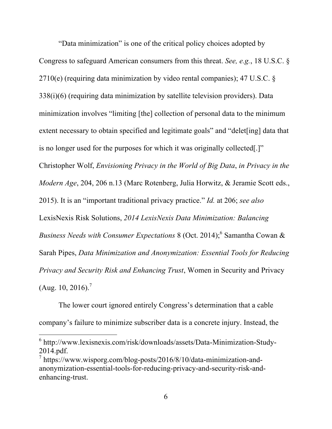"Data minimization" is one of the critical policy choices adopted by Congress to safeguard American consumers from this threat. *See, e.g.*, 18 U.S.C. § 2710(e) (requiring data minimization by video rental companies); 47 U.S.C. § 338(i)(6) (requiring data minimization by satellite television providers). Data minimization involves "limiting [the] collection of personal data to the minimum extent necessary to obtain specified and legitimate goals" and "delet[ing] data that is no longer used for the purposes for which it was originally collected[.]" Christopher Wolf, *Envisioning Privacy in the World of Big Data*, *in Privacy in the Modern Age*, 204, 206 n.13 (Marc Rotenberg, Julia Horwitz, & Jeramie Scott eds., 2015). It is an "important traditional privacy practice." *Id.* at 206; *see also*  LexisNexis Risk Solutions, *2014 LexisNexis Data Minimization: Balancing Business Needs with Consumer Expectations* 8 (Oct. 2014); <sup>6</sup> Samantha Cowan & Sarah Pipes, *Data Minimization and Anonymization: Essential Tools for Reducing Privacy and Security Risk and Enhancing Trust*, Women in Security and Privacy  $(Aug. 10, 2016).$ <sup>7</sup>

The lower court ignored entirely Congress's determination that a cable company's failure to minimize subscriber data is a concrete injury. Instead, the

 <sup>6</sup> http://www.lexisnexis.com/risk/downloads/assets/Data-Minimization-Study-2014.pdf.

 $\frac{7}{1}$  https://www.wisporg.com/blog-posts/2016/8/10/data-minimization-andanonymization-essential-tools-for-reducing-privacy-and-security-risk-andenhancing-trust.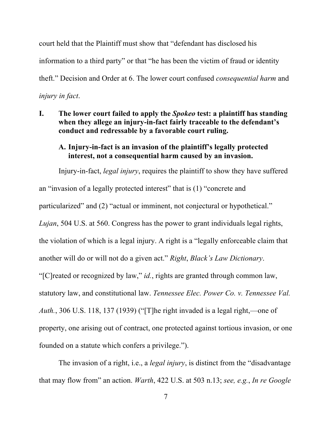court held that the Plaintiff must show that "defendant has disclosed his information to a third party" or that "he has been the victim of fraud or identity theft." Decision and Order at 6. The lower court confused *consequential harm* and *injury in fact*.

**I. The lower court failed to apply the** *Spokeo* **test: a plaintiff has standing when they allege an injury-in-fact fairly traceable to the defendant's conduct and redressable by a favorable court ruling.**

## **A. Injury-in-fact is an invasion of the plaintiff's legally protected interest, not a consequential harm caused by an invasion.**

Injury-in-fact, *legal injury*, requires the plaintiff to show they have suffered an "invasion of a legally protected interest" that is (1) "concrete and particularized" and (2) "actual or imminent, not conjectural or hypothetical." *Lujan*, 504 U.S. at 560. Congress has the power to grant individuals legal rights, the violation of which is a legal injury. A right is a "legally enforceable claim that another will do or will not do a given act." *Right*, *Black's Law Dictionary*. "[C]reated or recognized by law," *id.*, rights are granted through common law, statutory law, and constitutional law. *Tennessee Elec. Power Co. v. Tennessee Val. Auth.*, 306 U.S. 118, 137 (1939) ("[T]he right invaded is a legal right,—one of property, one arising out of contract, one protected against tortious invasion, or one founded on a statute which confers a privilege.").

The invasion of a right, i.e., a *legal injury*, is distinct from the "disadvantage that may flow from" an action. *Warth*, 422 U.S. at 503 n.13; *see, e.g.*, *In re Google*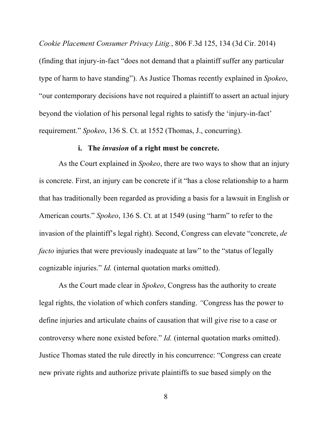*Cookie Placement Consumer Privacy Litig.*, 806 F.3d 125, 134 (3d Cir. 2014)

(finding that injury-in-fact "does not demand that a plaintiff suffer any particular type of harm to have standing"). As Justice Thomas recently explained in *Spokeo*, "our contemporary decisions have not required a plaintiff to assert an actual injury beyond the violation of his personal legal rights to satisfy the 'injury-in-fact' requirement." *Spokeo*, 136 S. Ct. at 1552 (Thomas, J., concurring).

## **i. The** *invasion* **of a right must be concrete.**

As the Court explained in *Spokeo*, there are two ways to show that an injury is concrete. First, an injury can be concrete if it "has a close relationship to a harm that has traditionally been regarded as providing a basis for a lawsuit in English or American courts." *Spokeo*, 136 S. Ct. at at 1549 (using "harm" to refer to the invasion of the plaintiff's legal right). Second, Congress can elevate "concrete, *de facto* injuries that were previously inadequate at law" to the "status of legally cognizable injuries." *Id.* (internal quotation marks omitted).

As the Court made clear in *Spokeo*, Congress has the authority to create legal rights, the violation of which confers standing. *"*Congress has the power to define injuries and articulate chains of causation that will give rise to a case or controversy where none existed before." *Id.* (internal quotation marks omitted). Justice Thomas stated the rule directly in his concurrence: "Congress can create new private rights and authorize private plaintiffs to sue based simply on the

8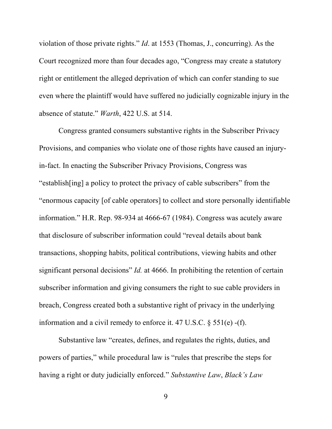violation of those private rights." *Id*. at 1553 (Thomas, J., concurring). As the Court recognized more than four decades ago, "Congress may create a statutory right or entitlement the alleged deprivation of which can confer standing to sue even where the plaintiff would have suffered no judicially cognizable injury in the absence of statute." *Warth*, 422 U.S. at 514.

Congress granted consumers substantive rights in the Subscriber Privacy Provisions, and companies who violate one of those rights have caused an injuryin-fact. In enacting the Subscriber Privacy Provisions, Congress was "establish[ing] a policy to protect the privacy of cable subscribers" from the "enormous capacity [of cable operators] to collect and store personally identifiable information." H.R. Rep. 98-934 at 4666-67 (1984). Congress was acutely aware that disclosure of subscriber information could "reveal details about bank transactions, shopping habits, political contributions, viewing habits and other significant personal decisions" *Id.* at 4666. In prohibiting the retention of certain subscriber information and giving consumers the right to sue cable providers in breach, Congress created both a substantive right of privacy in the underlying information and a civil remedy to enforce it. 47 U.S.C. § 551(e) -(f).

Substantive law "creates, defines, and regulates the rights, duties, and powers of parties," while procedural law is "rules that prescribe the steps for having a right or duty judicially enforced." *Substantive Law*, *Black's Law* 

9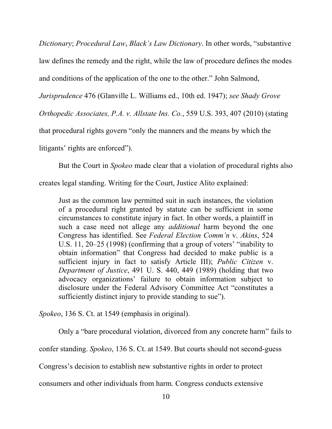*Dictionary*; *Procedural Law*, *Black's Law Dictionary*. In other words, "substantive law defines the remedy and the right, while the law of procedure defines the modes and conditions of the application of the one to the other." John Salmond,

*Jurisprudence* 476 (Glanville L. Williams ed., 10th ed. 1947); *see Shady Grove*

*Orthopedic Associates, P.A. v. Allstate Ins. Co.*, 559 U.S. 393, 407 (2010) (stating

that procedural rights govern "only the manners and the means by which the

litigants' rights are enforced").

But the Court in *Spokeo* made clear that a violation of procedural rights also

creates legal standing. Writing for the Court, Justice Alito explained:

Just as the common law permitted suit in such instances, the violation of a procedural right granted by statute can be sufficient in some circumstances to constitute injury in fact. In other words, a plaintiff in such a case need not allege any *additional* harm beyond the one Congress has identified. See *Federal Election Comm'n* v. *Akins*, 524 U.S. 11, 20–25 (1998) (confirming that a group of voters' "inability to obtain information" that Congress had decided to make public is a sufficient injury in fact to satisfy Article III); *Public Citizen* v. *Department of Justice*, 491 U. S. 440, 449 (1989) (holding that two advocacy organizations' failure to obtain information subject to disclosure under the Federal Advisory Committee Act "constitutes a sufficiently distinct injury to provide standing to sue").

*Spokeo*, 136 S. Ct. at 1549 (emphasis in original).

Only a "bare procedural violation, divorced from any concrete harm" fails to

confer standing. *Spokeo*, 136 S. Ct. at 1549. But courts should not second-guess

Congress's decision to establish new substantive rights in order to protect

consumers and other individuals from harm. Congress conducts extensive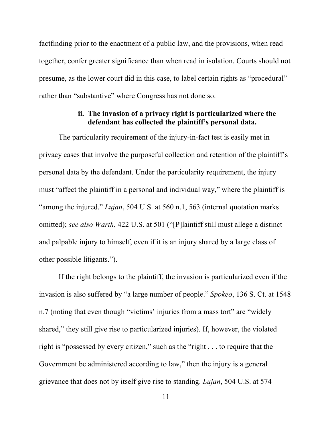factfinding prior to the enactment of a public law, and the provisions, when read together, confer greater significance than when read in isolation. Courts should not presume, as the lower court did in this case, to label certain rights as "procedural" rather than "substantive" where Congress has not done so.

### **ii. The invasion of a privacy right is particularized where the defendant has collected the plaintiff's personal data.**

The particularity requirement of the injury-in-fact test is easily met in privacy cases that involve the purposeful collection and retention of the plaintiff's personal data by the defendant. Under the particularity requirement, the injury must "affect the plaintiff in a personal and individual way," where the plaintiff is "among the injured." *Lujan*, 504 U.S. at 560 n.1, 563 (internal quotation marks omitted); *see also Warth*, 422 U.S. at 501 ("[P]laintiff still must allege a distinct and palpable injury to himself, even if it is an injury shared by a large class of other possible litigants.").

If the right belongs to the plaintiff, the invasion is particularized even if the invasion is also suffered by "a large number of people." *Spokeo*, 136 S. Ct. at 1548 n.7 (noting that even though "victims' injuries from a mass tort" are "widely shared," they still give rise to particularized injuries). If, however, the violated right is "possessed by every citizen," such as the "right . . . to require that the Government be administered according to law," then the injury is a general grievance that does not by itself give rise to standing. *Lujan*, 504 U.S. at 574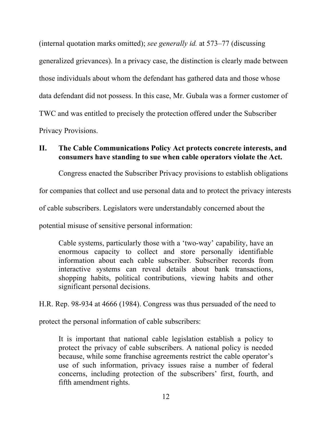(internal quotation marks omitted); *see generally id.* at 573–77 (discussing generalized grievances). In a privacy case, the distinction is clearly made between those individuals about whom the defendant has gathered data and those whose data defendant did not possess. In this case, Mr. Gubala was a former customer of TWC and was entitled to precisely the protection offered under the Subscriber Privacy Provisions.

# **II. The Cable Communications Policy Act protects concrete interests, and consumers have standing to sue when cable operators violate the Act.**

Congress enacted the Subscriber Privacy provisions to establish obligations

for companies that collect and use personal data and to protect the privacy interests

of cable subscribers. Legislators were understandably concerned about the

potential misuse of sensitive personal information:

Cable systems, particularly those with a 'two-way' capability, have an enormous capacity to collect and store personally identifiable information about each cable subscriber. Subscriber records from interactive systems can reveal details about bank transactions, shopping habits, political contributions, viewing habits and other significant personal decisions.

H.R. Rep. 98-934 at 4666 (1984). Congress was thus persuaded of the need to

protect the personal information of cable subscribers:

It is important that national cable legislation establish a policy to protect the privacy of cable subscribers. A national policy is needed because, while some franchise agreements restrict the cable operator's use of such information, privacy issues raise a number of federal concerns, including protection of the subscribers' first, fourth, and fifth amendment rights.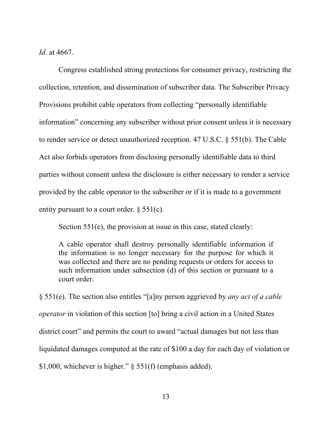*Id.* at 4667.

Congress established strong protections for consumer privacy, restricting the collection, retention, and dissemination of subscriber data. The Subscriber Privacy Provisions prohibit cable operators from collecting "personally identifiable information" concerning any subscriber without prior consent unless it is necessary to render service or detect unauthorized reception. 47 U.S.C. § 551(b). The Cable Act also forbids operators from disclosing personally identifiable data to third parties without consent unless the disclosure is either necessary to render a service provided by the cable operator to the subscriber or if it is made to a government entity pursuant to a court order. § 551(c).

Section 551(e), the provision at issue in this case, stated clearly:

A cable operator shall destroy personally identifiable information if the information is no longer necessary for the purpose for which it was collected and there are no pending requests or orders for access to such information under subsection (d) of this section or pursuant to a court order.

§ 551(e). The section also entitles "[a]ny person aggrieved by *any act of a cable operator* in violation of this section [to] bring a civil action in a United States district court" and permits the court to award "actual damages but not less than liquidated damages computed at the rate of \$100 a day for each day of violation or \$1,000, whichever is higher." § 551(f) (emphasis added).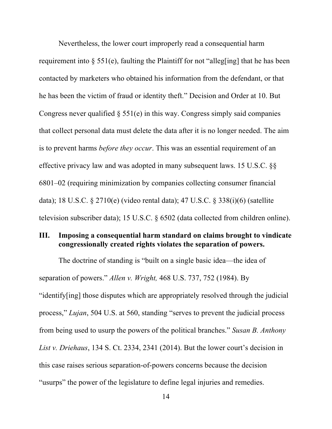Nevertheless, the lower court improperly read a consequential harm requirement into  $\S$  551(e), faulting the Plaintiff for not "alleg[ing] that he has been contacted by marketers who obtained his information from the defendant, or that he has been the victim of fraud or identity theft." Decision and Order at 10. But Congress never qualified  $\S$  551(e) in this way. Congress simply said companies that collect personal data must delete the data after it is no longer needed. The aim is to prevent harms *before they occur*. This was an essential requirement of an effective privacy law and was adopted in many subsequent laws. 15 U.S.C. §§ 6801–02 (requiring minimization by companies collecting consumer financial data); 18 U.S.C. § 2710(e) (video rental data); 47 U.S.C. § 338(i)(6) (satellite television subscriber data); 15 U.S.C. § 6502 (data collected from children online).

### **III. Imposing a consequential harm standard on claims brought to vindicate congressionally created rights violates the separation of powers.**

The doctrine of standing is "built on a single basic idea—the idea of separation of powers." *Allen v. Wright,* 468 U.S. 737, 752 (1984). By "identify[ing] those disputes which are appropriately resolved through the judicial process," *Lujan*, 504 U.S. at 560, standing "serves to prevent the judicial process from being used to usurp the powers of the political branches." *Susan B. Anthony List v. Driehaus*, 134 S. Ct. 2334, 2341 (2014). But the lower court's decision in this case raises serious separation-of-powers concerns because the decision "usurps" the power of the legislature to define legal injuries and remedies.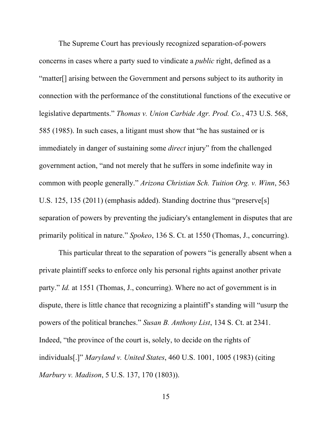The Supreme Court has previously recognized separation-of-powers concerns in cases where a party sued to vindicate a *public* right, defined as a "matter[] arising between the Government and persons subject to its authority in connection with the performance of the constitutional functions of the executive or legislative departments." *Thomas v. Union Carbide Agr. Prod. Co.*, 473 U.S. 568, 585 (1985). In such cases, a litigant must show that "he has sustained or is immediately in danger of sustaining some *direct* injury" from the challenged government action, "and not merely that he suffers in some indefinite way in common with people generally." *Arizona Christian Sch. Tuition Org. v. Winn*, 563 U.S. 125, 135 (2011) (emphasis added). Standing doctrine thus "preserve[s] separation of powers by preventing the judiciary's entanglement in disputes that are primarily political in nature." *Spokeo*, 136 S. Ct. at 1550 (Thomas, J., concurring).

This particular threat to the separation of powers "is generally absent when a private plaintiff seeks to enforce only his personal rights against another private party." *Id.* at 1551 (Thomas, J., concurring). Where no act of government is in dispute, there is little chance that recognizing a plaintiff's standing will "usurp the powers of the political branches." *Susan B. Anthony List*, 134 S. Ct. at 2341. Indeed, "the province of the court is, solely, to decide on the rights of individuals[.]" *Maryland v. United States*, 460 U.S. 1001, 1005 (1983) (citing *Marbury v. Madison*, 5 U.S. 137, 170 (1803)).

15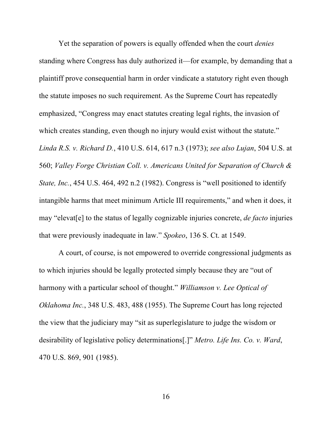Yet the separation of powers is equally offended when the court *denies* standing where Congress has duly authorized it—for example, by demanding that a plaintiff prove consequential harm in order vindicate a statutory right even though the statute imposes no such requirement. As the Supreme Court has repeatedly emphasized, "Congress may enact statutes creating legal rights, the invasion of which creates standing, even though no injury would exist without the statute." *Linda R.S. v. Richard D.*, 410 U.S. 614, 617 n.3 (1973); *see also Lujan*, 504 U.S. at 560; *Valley Forge Christian Coll. v. Americans United for Separation of Church & State, Inc.*, 454 U.S. 464, 492 n.2 (1982). Congress is "well positioned to identify intangible harms that meet minimum Article III requirements," and when it does, it may "elevat[e] to the status of legally cognizable injuries concrete, *de facto* injuries that were previously inadequate in law." *Spokeo*, 136 S. Ct. at 1549.

A court, of course, is not empowered to override congressional judgments as to which injuries should be legally protected simply because they are "out of harmony with a particular school of thought." *Williamson v. Lee Optical of Oklahoma Inc.*, 348 U.S. 483, 488 (1955). The Supreme Court has long rejected the view that the judiciary may "sit as superlegislature to judge the wisdom or desirability of legislative policy determinations[.]" *Metro. Life Ins. Co. v. Ward*, 470 U.S. 869, 901 (1985).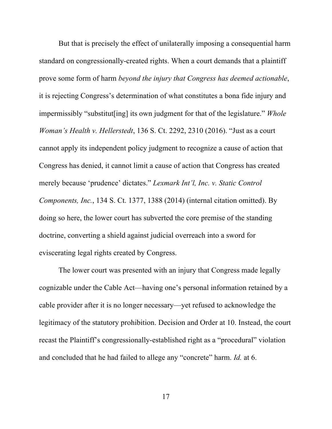But that is precisely the effect of unilaterally imposing a consequential harm standard on congressionally-created rights. When a court demands that a plaintiff prove some form of harm *beyond the injury that Congress has deemed actionable*, it is rejecting Congress's determination of what constitutes a bona fide injury and impermissibly "substitut[ing] its own judgment for that of the legislature." *Whole Woman's Health v. Hellerstedt*, 136 S. Ct. 2292, 2310 (2016). "Just as a court cannot apply its independent policy judgment to recognize a cause of action that Congress has denied, it cannot limit a cause of action that Congress has created merely because 'prudence' dictates." *Lexmark Int'l, Inc. v. Static Control Components, Inc.*, 134 S. Ct. 1377, 1388 (2014) (internal citation omitted). By doing so here, the lower court has subverted the core premise of the standing doctrine, converting a shield against judicial overreach into a sword for eviscerating legal rights created by Congress.

The lower court was presented with an injury that Congress made legally cognizable under the Cable Act—having one's personal information retained by a cable provider after it is no longer necessary—yet refused to acknowledge the legitimacy of the statutory prohibition. Decision and Order at 10. Instead, the court recast the Plaintiff's congressionally-established right as a "procedural" violation and concluded that he had failed to allege any "concrete" harm. *Id.* at 6.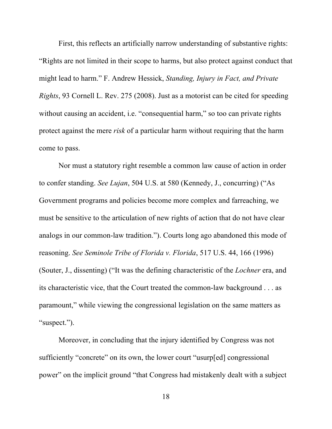First, this reflects an artificially narrow understanding of substantive rights: "Rights are not limited in their scope to harms, but also protect against conduct that might lead to harm." F. Andrew Hessick, *Standing, Injury in Fact, and Private Rights*, 93 Cornell L. Rev. 275 (2008). Just as a motorist can be cited for speeding without causing an accident, i.e. "consequential harm," so too can private rights protect against the mere *risk* of a particular harm without requiring that the harm come to pass.

Nor must a statutory right resemble a common law cause of action in order to confer standing. *See Lujan*, 504 U.S. at 580 (Kennedy, J., concurring) ("As Government programs and policies become more complex and farreaching, we must be sensitive to the articulation of new rights of action that do not have clear analogs in our common-law tradition."). Courts long ago abandoned this mode of reasoning. *See Seminole Tribe of Florida v. Florida*, 517 U.S. 44, 166 (1996) (Souter, J., dissenting) ("It was the defining characteristic of the *Lochner* era, and its characteristic vice, that the Court treated the common-law background . . . as paramount," while viewing the congressional legislation on the same matters as "suspect.").

Moreover, in concluding that the injury identified by Congress was not sufficiently "concrete" on its own, the lower court "usurp[ed] congressional power" on the implicit ground "that Congress had mistakenly dealt with a subject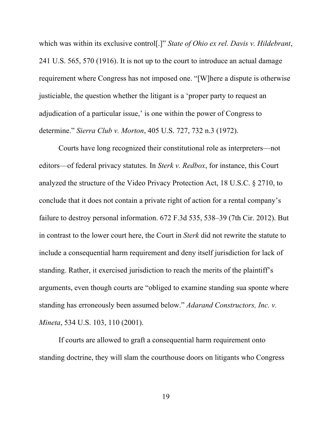which was within its exclusive control[.]" *State of Ohio ex rel. Davis v. Hildebrant*, 241 U.S. 565, 570 (1916). It is not up to the court to introduce an actual damage requirement where Congress has not imposed one. "[W]here a dispute is otherwise justiciable, the question whether the litigant is a 'proper party to request an adjudication of a particular issue,' is one within the power of Congress to determine." *Sierra Club v. Morton*, 405 U.S. 727, 732 n.3 (1972).

Courts have long recognized their constitutional role as interpreters—not editors—of federal privacy statutes. In *Sterk v. Redbox*, for instance, this Court analyzed the structure of the Video Privacy Protection Act, 18 U.S.C. § 2710, to conclude that it does not contain a private right of action for a rental company's failure to destroy personal information. 672 F.3d 535, 538–39 (7th Cir. 2012). But in contrast to the lower court here, the Court in *Sterk* did not rewrite the statute to include a consequential harm requirement and deny itself jurisdiction for lack of standing. Rather, it exercised jurisdiction to reach the merits of the plaintiff's arguments, even though courts are "obliged to examine standing sua sponte where standing has erroneously been assumed below." *Adarand Constructors, Inc. v. Mineta*, 534 U.S. 103, 110 (2001).

If courts are allowed to graft a consequential harm requirement onto standing doctrine, they will slam the courthouse doors on litigants who Congress

19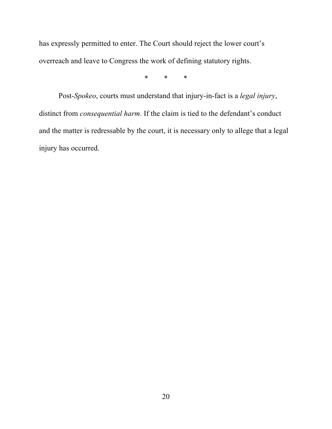has expressly permitted to enter. The Court should reject the lower court's overreach and leave to Congress the work of defining statutory rights.

\* \* \*

Post-*Spokeo*, courts must understand that injury-in-fact is a *legal injury*, distinct from *consequential harm*. If the claim is tied to the defendant's conduct and the matter is redressable by the court, it is necessary only to allege that a legal injury has occurred.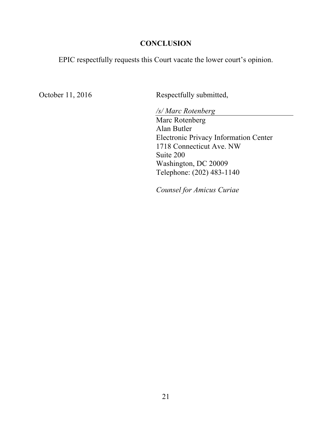### **CONCLUSION**

EPIC respectfully requests this Court vacate the lower court's opinion.

October 11, 2016 Respectfully submitted,

*/s/ Marc Rotenberg* Marc Rotenberg Alan Butler Electronic Privacy Information Center 1718 Connecticut Ave. NW Suite 200 Washington, DC 20009 Telephone: (202) 483-1140

*Counsel for Amicus Curiae*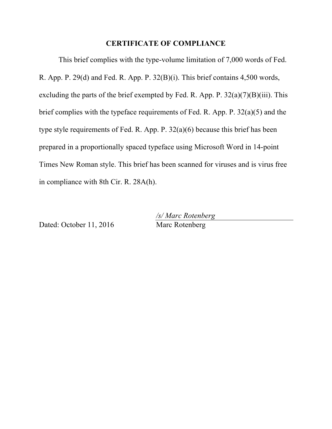### **CERTIFICATE OF COMPLIANCE**

This brief complies with the type-volume limitation of 7,000 words of Fed. R. App. P. 29(d) and Fed. R. App. P. 32(B)(i). This brief contains 4,500 words, excluding the parts of the brief exempted by Fed. R. App. P.  $32(a)(7)(B)(iii)$ . This brief complies with the typeface requirements of Fed. R. App. P. 32(a)(5) and the type style requirements of Fed. R. App. P. 32(a)(6) because this brief has been prepared in a proportionally spaced typeface using Microsoft Word in 14-point Times New Roman style. This brief has been scanned for viruses and is virus free in compliance with 8th Cir. R. 28A(h).

Dated: October 11, 2016 Marc Rotenberg

*/s/ Marc Rotenberg*